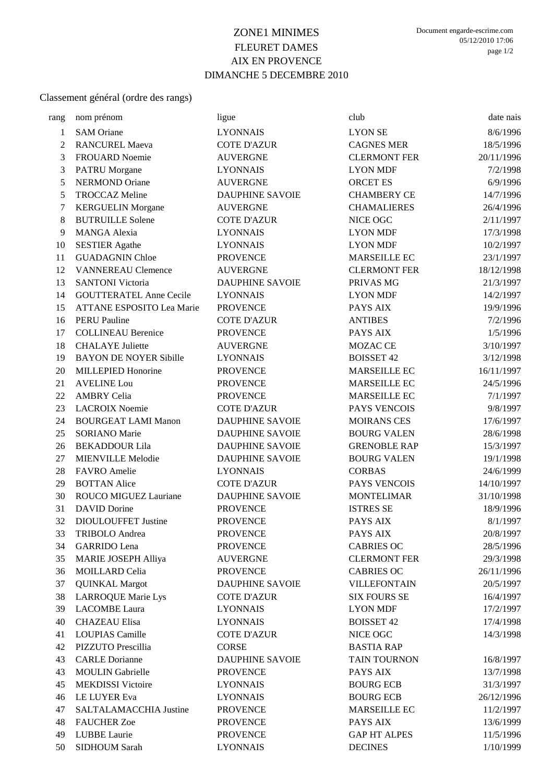## ZONE1 MINIMES FLEURET DAMES AIX EN PROVENCE DIMANCHE 5 DECEMBRE 2010

## Classement général (ordre des rangs)

| rang | nom prénom                     | ligue                  | club                | date nais  |
|------|--------------------------------|------------------------|---------------------|------------|
| 1    | <b>SAM Oriane</b>              | <b>LYONNAIS</b>        | <b>LYON SE</b>      | 8/6/1996   |
| 2    | <b>RANCUREL Maeva</b>          | <b>COTE D'AZUR</b>     | <b>CAGNES MER</b>   | 18/5/1996  |
| 3    | FROUARD Noemie                 | <b>AUVERGNE</b>        | <b>CLERMONT FER</b> | 20/11/1996 |
| 3    | <b>PATRU Morgane</b>           | <b>LYONNAIS</b>        | <b>LYON MDF</b>     | 7/2/1998   |
| 5    | <b>NERMOND Oriane</b>          | <b>AUVERGNE</b>        | <b>ORCET ES</b>     | 6/9/1996   |
| 5    | <b>TROCCAZ Meline</b>          | <b>DAUPHINE SAVOIE</b> | <b>CHAMBERY CE</b>  | 14/7/1996  |
| 7    | <b>KERGUELIN</b> Morgane       | <b>AUVERGNE</b>        | <b>CHAMALIERES</b>  | 26/4/1996  |
| 8    | <b>BUTRUILLE Solene</b>        | <b>COTE D'AZUR</b>     | NICE OGC            | 2/11/1997  |
| 9    | <b>MANGA Alexia</b>            | <b>LYONNAIS</b>        | <b>LYON MDF</b>     | 17/3/1998  |
| 10   | <b>SESTIER Agathe</b>          | <b>LYONNAIS</b>        | <b>LYON MDF</b>     | 10/2/1997  |
| 11   | <b>GUADAGNIN Chloe</b>         | <b>PROVENCE</b>        | MARSEILLE EC        | 23/1/1997  |
| 12   | <b>VANNEREAU Clemence</b>      | <b>AUVERGNE</b>        | <b>CLERMONT FER</b> | 18/12/1998 |
| 13   | <b>SANTONI</b> Victoria        | <b>DAUPHINE SAVOIE</b> | PRIVAS MG           | 21/3/1997  |
| 14   | <b>GOUTTERATEL Anne Cecile</b> | <b>LYONNAIS</b>        | <b>LYON MDF</b>     | 14/2/1997  |
| 15   | ATTANE ESPOSITO Lea Marie      | <b>PROVENCE</b>        | PAYS AIX            | 19/9/1996  |
| 16   | <b>PERU Pauline</b>            | <b>COTE D'AZUR</b>     | <b>ANTIBES</b>      | 7/2/1996   |
| 17   | <b>COLLINEAU Berenice</b>      | <b>PROVENCE</b>        | PAYS AIX            | 1/5/1996   |
| 18   | <b>CHALAYE</b> Juliette        | <b>AUVERGNE</b>        | MOZAC CE            | 3/10/1997  |
| 19   | <b>BAYON DE NOYER Sibille</b>  | <b>LYONNAIS</b>        | <b>BOISSET 42</b>   | 3/12/1998  |
| 20   | <b>MILLEPIED Honorine</b>      | <b>PROVENCE</b>        | MARSEILLE EC        | 16/11/1997 |
| 21   | <b>AVELINE Lou</b>             | <b>PROVENCE</b>        | MARSEILLE EC        | 24/5/1996  |
| 22   | <b>AMBRY Celia</b>             | <b>PROVENCE</b>        | <b>MARSEILLE EC</b> | 7/1/1997   |
| 23   | <b>LACROIX Noemie</b>          | <b>COTE D'AZUR</b>     | PAYS VENCOIS        | 9/8/1997   |
| 24   | <b>BOURGEAT LAMI Manon</b>     | <b>DAUPHINE SAVOIE</b> | <b>MOIRANS CES</b>  | 17/6/1997  |
| 25   | <b>SORIANO</b> Marie           | <b>DAUPHINE SAVOIE</b> | <b>BOURG VALEN</b>  | 28/6/1998  |
| 26   | <b>BEKADDOUR Lila</b>          | <b>DAUPHINE SAVOIE</b> | <b>GRENOBLE RAP</b> | 15/3/1997  |
| 27   | <b>MIENVILLE Melodie</b>       | <b>DAUPHINE SAVOIE</b> | <b>BOURG VALEN</b>  | 19/1/1998  |
| 28   | FAVRO Amelie                   | <b>LYONNAIS</b>        | <b>CORBAS</b>       | 24/6/1999  |
| 29   | <b>BOTTAN Alice</b>            | <b>COTE D'AZUR</b>     | PAYS VENCOIS        | 14/10/1997 |
| 30   | ROUCO MIGUEZ Lauriane          | <b>DAUPHINE SAVOIE</b> | <b>MONTELIMAR</b>   | 31/10/1998 |
| 31   | <b>DAVID</b> Dorine            | <b>PROVENCE</b>        | <b>ISTRES SE</b>    | 18/9/1996  |
| 32   | DIOULOUFFET Justine            | <b>PROVENCE</b>        | PAYS AIX            | 8/1/1997   |
| 33   | <b>TRIBOLO</b> Andrea          | <b>PROVENCE</b>        | PAYS AIX            | 20/8/1997  |
| 34   | <b>GARRIDO</b> Lena            | <b>PROVENCE</b>        | <b>CABRIES OC</b>   | 28/5/1996  |
| 35   | <b>MARIE JOSEPH Alliya</b>     | <b>AUVERGNE</b>        | <b>CLERMONT FER</b> | 29/3/1998  |
| 36   | <b>MOILLARD Celia</b>          | <b>PROVENCE</b>        | <b>CABRIES OC</b>   | 26/11/1996 |
| 37   | <b>QUINKAL Margot</b>          | <b>DAUPHINE SAVOIE</b> | <b>VILLEFONTAIN</b> | 20/5/1997  |
| 38   | <b>LARROQUE Marie Lys</b>      | <b>COTE D'AZUR</b>     | <b>SIX FOURS SE</b> | 16/4/1997  |
| 39   | <b>LACOMBE</b> Laura           | <b>LYONNAIS</b>        | <b>LYON MDF</b>     | 17/2/1997  |
| 40   | <b>CHAZEAU Elisa</b>           | <b>LYONNAIS</b>        | <b>BOISSET 42</b>   | 17/4/1998  |
| 41   | <b>LOUPIAS Camille</b>         | <b>COTE D'AZUR</b>     | NICE OGC            | 14/3/1998  |
| 42   | PIZZUTO Prescillia             | <b>CORSE</b>           | <b>BASTIA RAP</b>   |            |
| 43   | <b>CARLE Dorianne</b>          | <b>DAUPHINE SAVOIE</b> | TAIN TOURNON        | 16/8/1997  |
| 43   | <b>MOULIN Gabrielle</b>        | <b>PROVENCE</b>        | PAYS AIX            | 13/7/1998  |
| 45   | <b>MEKDISSI Victoire</b>       | <b>LYONNAIS</b>        | <b>BOURG ECB</b>    | 31/3/1997  |
| 46   | LE LUYER Eva                   | <b>LYONNAIS</b>        | <b>BOURG ECB</b>    | 26/12/1996 |
| 47   | SALTALAMACCHIA Justine         | <b>PROVENCE</b>        | <b>MARSEILLE EC</b> | 11/2/1997  |
| 48   | <b>FAUCHER Zoe</b>             | <b>PROVENCE</b>        | PAYS AIX            | 13/6/1999  |
| 49   | LUBBE Laurie                   | <b>PROVENCE</b>        | <b>GAP HT ALPES</b> | 11/5/1996  |
| 50   | SIDHOUM Sarah                  | <b>LYONNAIS</b>        | <b>DECINES</b>      | 1/10/1999  |